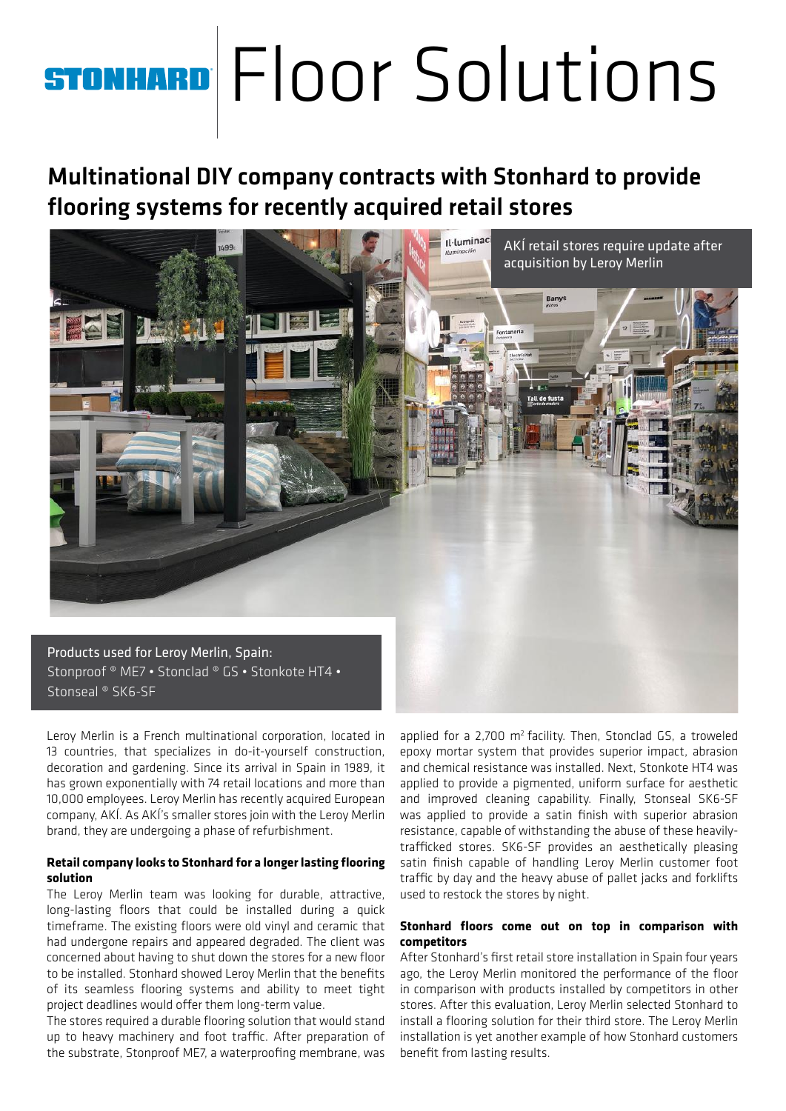## ® Floor Solutions

## Multinational DIY company contracts with Stonhard to provide flooring systems for recently acquired retail stores



Leroy Merlin is a French multinational corporation, located in 13 countries, that specializes in do-it-yourself construction, decoration and gardening. Since its arrival in Spain in 1989, it has grown exponentially with 74 retail locations and more than 10,000 employees. Leroy Merlin has recently acquired European company, AKÍ. As AKÍ's smaller stores join with the Leroy Merlin brand, they are undergoing a phase of refurbishment.

## **Retail company looks to Stonhard for a longer lasting flooring solution**

The Leroy Merlin team was looking for durable, attractive, long-lasting floors that could be installed during a quick timeframe. The existing floors were old vinyl and ceramic that had undergone repairs and appeared degraded. The client was concerned about having to shut down the stores for a new floor to be installed. Stonhard showed Leroy Merlin that the benefits of its seamless flooring systems and ability to meet tight project deadlines would offer them long-term value.

The stores required a durable flooring solution that would stand up to heavy machinery and foot traffic. After preparation of the substrate, Stonproof ME7, a waterproofing membrane, was

applied for a  $2,700$  m<sup>2</sup> facility. Then, Stonclad GS, a troweled epoxy mortar system that provides superior impact, abrasion and chemical resistance was installed. Next, Stonkote HT4 was applied to provide a pigmented, uniform surface for aesthetic and improved cleaning capability. Finally, Stonseal SK6-SF was applied to provide a satin finish with superior abrasion resistance, capable of withstanding the abuse of these heavilytrafficked stores. SK6-SF provides an aesthetically pleasing satin finish capable of handling Leroy Merlin customer foot traffic by day and the heavy abuse of pallet jacks and forklifts used to restock the stores by night.

## **Stonhard floors come out on top in comparison with competitors**

After Stonhard's first retail store installation in Spain four years ago, the Leroy Merlin monitored the performance of the floor in comparison with products installed by competitors in other stores. After this evaluation, Leroy Merlin selected Stonhard to install a flooring solution for their third store. The Leroy Merlin installation is yet another example of how Stonhard customers benefit from lasting results.